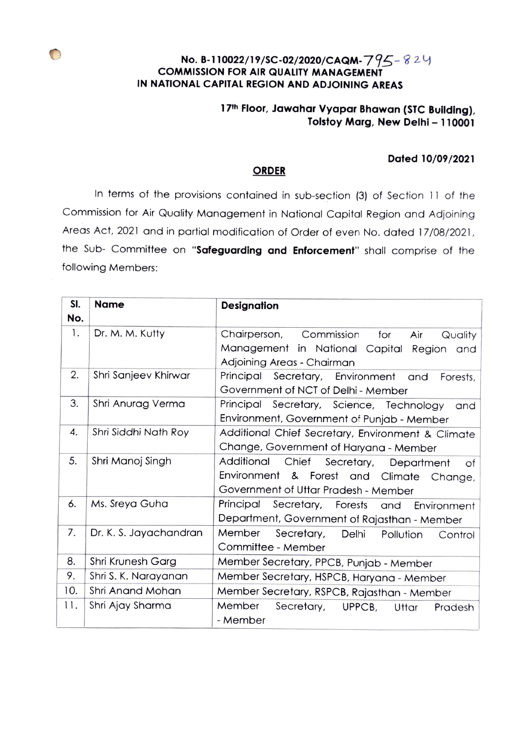## No. B-110022/19/SC-02/2020/CAQM- $795-824$ cOMMISSION FOR AIR QUALITY MANAGEMENT IN NATIONAL CAPITAL REGION AND ADJOINING AREAS

## 17<sup>th</sup> Floor, Jawahar Vyapar Bhawan (STC Building), Tolstoy Marg, New Delhi - 110001

## Dated 10/09/2021

## **ORDER**

In terms of the provisions contained in sub-section (3) of Section 11 of the Commission for Air Quality Management in National Capital Region and Adjoining Areas Act, 2021 and in partial modification of Order of even No. dated 17/08/2021 the Sub- Committee on "Safeguarding and Enforcement" shall comprise of the following Members:

| SI. | <b>Name</b>            | <b>Designation</b>                                    |
|-----|------------------------|-------------------------------------------------------|
| No. |                        |                                                       |
| 1.  | Dr. M. M. Kutty        | Chairperson,<br>Commission<br>for<br>Air<br>Quality   |
|     |                        | Management in National Capital<br>Region and          |
|     |                        | Adjoining Areas - Chairman                            |
| 2.  | Shri Sanjeev Khirwar   | Principal Secretary, Environment and<br>Forests,      |
|     |                        | Government of NCT of Delhi - Member                   |
| 3.  | Shri Anurag Verma      | Principal<br>Secretary, Science, Technology<br>and    |
|     |                        | Environment, Government of Punjab - Member            |
| 4.  | Shri Siddhi Nath Roy   | Additional Chief Secretary, Environment & Climate     |
|     |                        | Change, Government of Haryana - Member                |
| 5.  | Shri Manoj Singh       | Additional<br>Chief Secretary, Department<br>Оf       |
|     |                        | Environment & Forest and Climate<br>Change,           |
|     |                        | Government of Uttar Pradesh - Member                  |
| 6.  | Ms. Sreya Guha         | Principal Secretary, Forests and<br>Environment       |
|     |                        | Department, Government of Rajasthan - Member          |
| 7.  | Dr. K. S. Jayachandran | Member<br>Secretary,<br>Delhi<br>Pollution<br>Control |
|     |                        | Committee - Member                                    |
| 8.  | Shri Krunesh Garg      | Member Secretary, PPCB, Punjab - Member               |
| 9.  | Shri S. K. Narayanan   | Member Secretary, HSPCB, Haryana - Member             |
| 10. | Shri Anand Mohan       | Member Secretary, RSPCB, Rajasthan - Member           |
| 11. | Shri Ajay Sharma       | Member<br>Secretary,<br>UPPCB,<br>Uttar<br>Pradesh    |
|     |                        | - Member                                              |